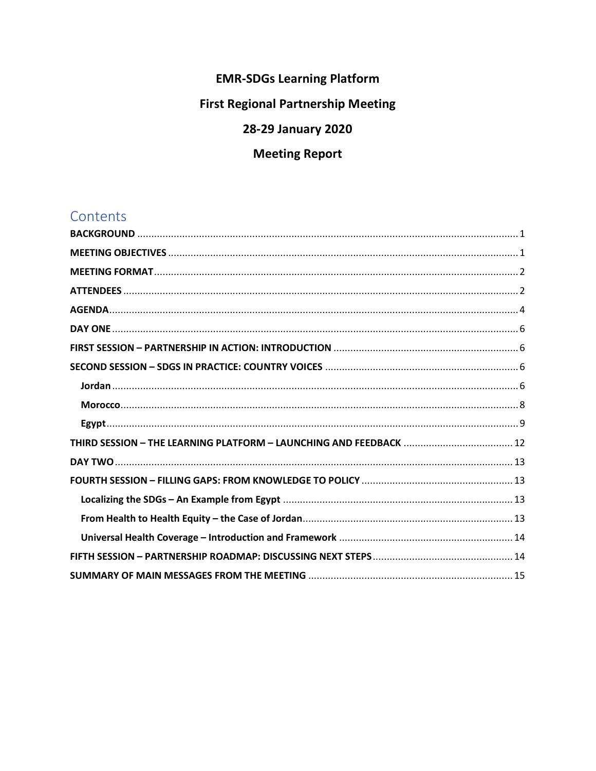# **EMR-SDGs Learning Platform**

# **First Regional Partnership Meeting**

# 28-29 January 2020

# **Meeting Report**

# Contents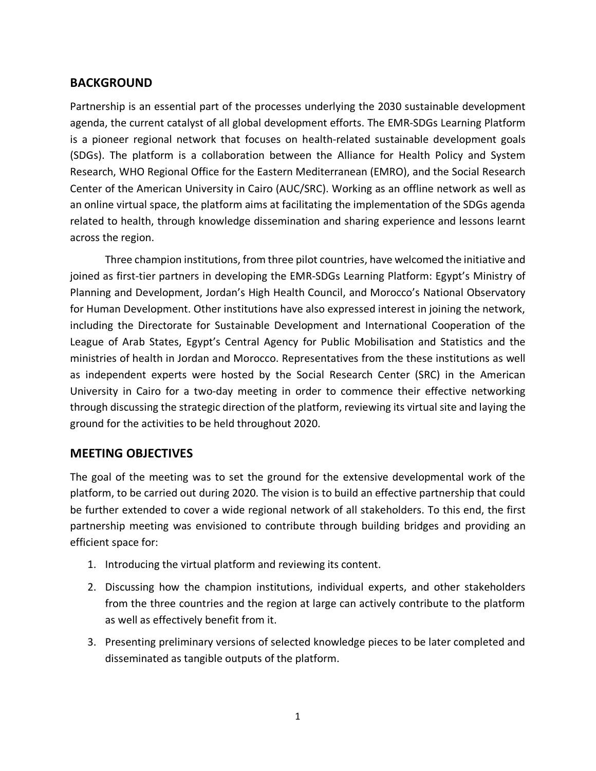## <span id="page-1-0"></span>**BACKGROUND**

Partnership is an essential part of the processes underlying the 2030 sustainable development agenda, the current catalyst of all global development efforts. The EMR-SDGs Learning Platform is a pioneer regional network that focuses on health-related sustainable development goals (SDGs). The platform is a collaboration between the Alliance for Health Policy and System Research, WHO Regional Office for the Eastern Mediterranean (EMRO), and the Social Research Center of the American University in Cairo (AUC/SRC). Working as an offline network as well as an online virtual space, the platform aims at facilitating the implementation of the SDGs agenda related to health, through knowledge dissemination and sharing experience and lessons learnt across the region.

Three champion institutions, from three pilot countries, have welcomed the initiative and joined as first-tier partners in developing the EMR-SDGs Learning Platform: Egypt's Ministry of Planning and Development, Jordan's High Health Council, and Morocco's National Observatory for Human Development. Other institutions have also expressed interest in joining the network, including the Directorate for Sustainable Development and International Cooperation of the League of Arab States, Egypt's Central Agency for Public Mobilisation and Statistics and the ministries of health in Jordan and Morocco. Representatives from the these institutions as well as independent experts were hosted by the Social Research Center (SRC) in the American University in Cairo for a two-day meeting in order to commence their effective networking through discussing the strategic direction of the platform, reviewing its virtual site and laying the ground for the activities to be held throughout 2020.

## <span id="page-1-1"></span>**MEETING OBJECTIVES**

The goal of the meeting was to set the ground for the extensive developmental work of the platform, to be carried out during 2020. The vision is to build an effective partnership that could be further extended to cover a wide regional network of all stakeholders. To this end, the first partnership meeting was envisioned to contribute through building bridges and providing an efficient space for:

- 1. Introducing the virtual platform and reviewing its content.
- 2. Discussing how the champion institutions, individual experts, and other stakeholders from the three countries and the region at large can actively contribute to the platform as well as effectively benefit from it.
- 3. Presenting preliminary versions of selected knowledge pieces to be later completed and disseminated as tangible outputs of the platform.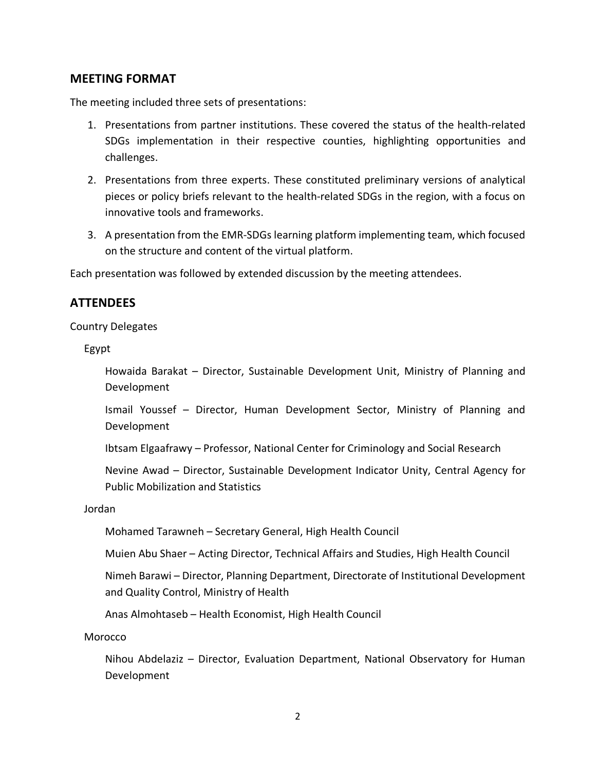### <span id="page-2-0"></span>**MEETING FORMAT**

The meeting included three sets of presentations:

- 1. Presentations from partner institutions. These covered the status of the health-related SDGs implementation in their respective counties, highlighting opportunities and challenges.
- 2. Presentations from three experts. These constituted preliminary versions of analytical pieces or policy briefs relevant to the health-related SDGs in the region, with a focus on innovative tools and frameworks.
- 3. A presentation from the EMR-SDGs learning platform implementing team, which focused on the structure and content of the virtual platform.

Each presentation was followed by extended discussion by the meeting attendees.

### <span id="page-2-1"></span>**ATTENDEES**

Country Delegates

Egypt

Howaida Barakat – Director, Sustainable Development Unit, Ministry of Planning and Development

Ismail Youssef – Director, Human Development Sector, Ministry of Planning and Development

Ibtsam Elgaafrawy – Professor, National Center for Criminology and Social Research

Nevine Awad – Director, Sustainable Development Indicator Unity, Central Agency for Public Mobilization and Statistics

Jordan

Mohamed Tarawneh – Secretary General, High Health Council

Muien Abu Shaer – Acting Director, Technical Affairs and Studies, High Health Council

Nimeh Barawi – Director, Planning Department, Directorate of Institutional Development and Quality Control, Ministry of Health

Anas Almohtaseb – Health Economist, High Health Council

Morocco

Nihou Abdelaziz – Director, Evaluation Department, National Observatory for Human Development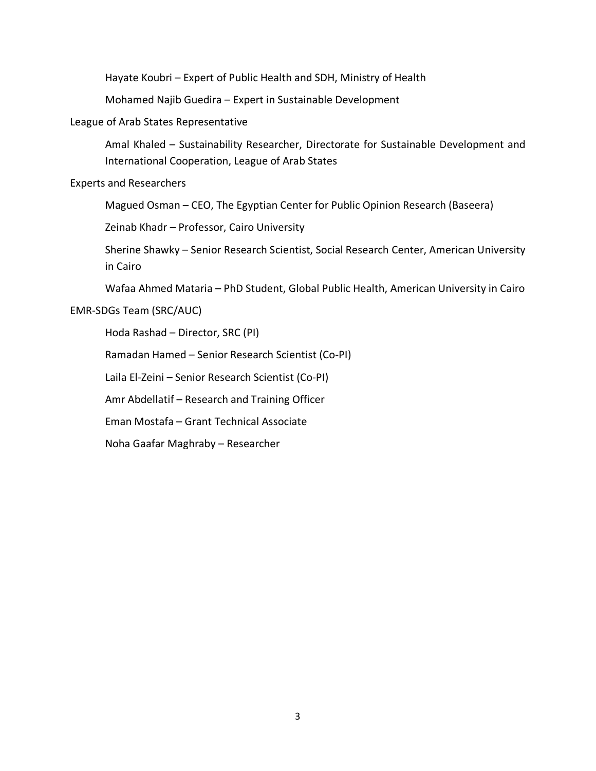Hayate Koubri – Expert of Public Health and SDH, Ministry of Health

Mohamed Najib Guedira – Expert in Sustainable Development

#### League of Arab States Representative

Amal Khaled – Sustainability Researcher, Directorate for Sustainable Development and International Cooperation, League of Arab States

#### Experts and Researchers

Magued Osman – CEO, The Egyptian Center for Public Opinion Research (Baseera)

Zeinab Khadr – Professor, Cairo University

Sherine Shawky – Senior Research Scientist, Social Research Center, American University in Cairo

Wafaa Ahmed Mataria – PhD Student, Global Public Health, American University in Cairo

#### EMR-SDGs Team (SRC/AUC)

Hoda Rashad – Director, SRC (PI)

Ramadan Hamed – Senior Research Scientist (Co-PI)

Laila El-Zeini – Senior Research Scientist (Co-PI)

Amr Abdellatif – Research and Training Officer

Eman Mostafa – Grant Technical Associate

Noha Gaafar Maghraby – Researcher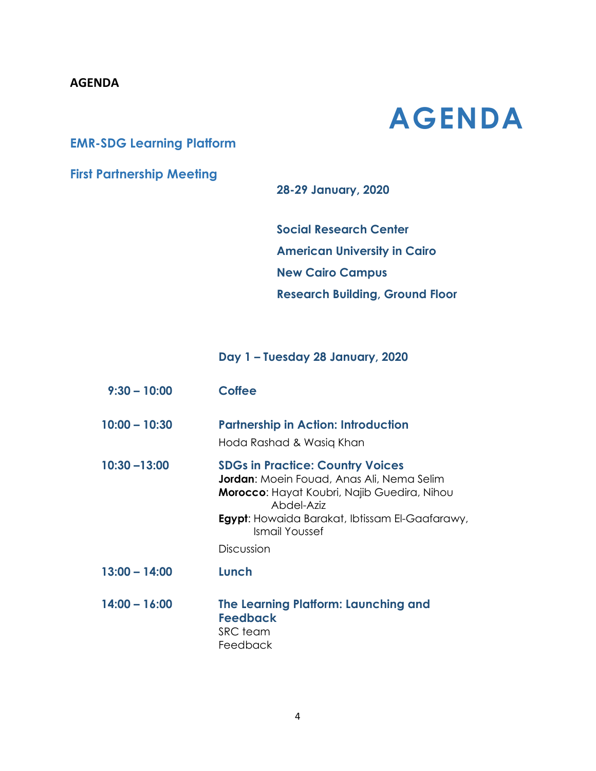## <span id="page-4-0"></span>**AGENDA**

**AGENDA**

# **EMR-SDG Learning Platform**

# **First Partnership Meeting**

**28-29 January, 2020**

**Social Research Center American University in Cairo New Cairo Campus Research Building, Ground Floor**

**Day 1 – Tuesday 28 January, 2020**

| $9:30 - 10:00$  | <b>Coffee</b>                                                                                                                                                                                                                                     |
|-----------------|---------------------------------------------------------------------------------------------------------------------------------------------------------------------------------------------------------------------------------------------------|
| $10:00 - 10:30$ | <b>Partnership in Action: Introduction</b><br>Hoda Rashad & Wasiq Khan                                                                                                                                                                            |
| $10:30 - 13:00$ | <b>SDGs in Practice: Country Voices</b><br><b>Jordan:</b> Moein Fouad, Anas Ali, Nema Selim<br>Morocco: Hayat Koubri, Najib Guedira, Nihou<br>Abdel-Aziz<br><b>Egypt:</b> Howaida Barakat, Ibtissam El-Gaafarawy,<br>Ismail Youssef<br>Discussion |
| $13:00 - 14:00$ | Lunch                                                                                                                                                                                                                                             |
| $14:00 - 16:00$ | The Learning Platform: Launching and<br><b>Feedback</b><br>SRC team<br>Feedback                                                                                                                                                                   |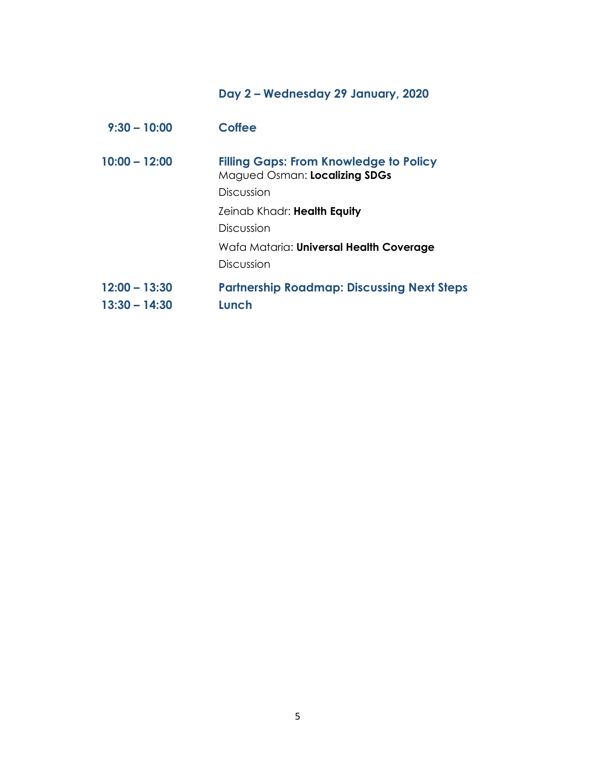# **Day 2 – Wednesday 29 January, 2020**

| $9:30 - 10:00$  | <b>Coffee</b>                                                                  |
|-----------------|--------------------------------------------------------------------------------|
| $10:00 - 12:00$ | <b>Filling Gaps: From Knowledge to Policy</b><br>Magued Osman: Localizing SDGs |
|                 | Discussion                                                                     |
|                 | Zeinab Khadr: Health Equity                                                    |
|                 | Discussion                                                                     |
|                 | Wafa Mataria: Universal Health Coverage                                        |
|                 | Discussion                                                                     |
| $12:00 - 13:30$ | <b>Partnership Roadmap: Discussing Next Steps</b>                              |
| $13:30 - 14:30$ | Lunch                                                                          |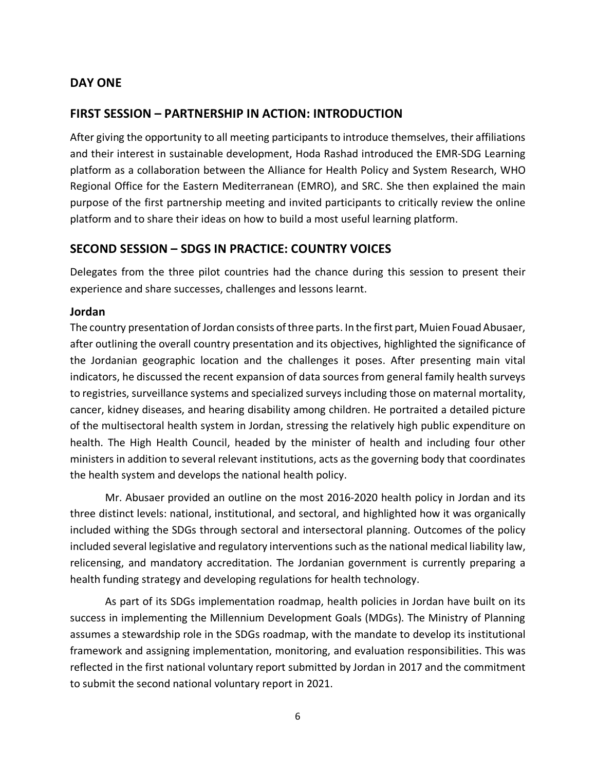## <span id="page-6-0"></span>**DAY ONE**

### <span id="page-6-1"></span>**FIRST SESSION – PARTNERSHIP IN ACTION: INTRODUCTION**

After giving the opportunity to all meeting participants to introduce themselves, their affiliations and their interest in sustainable development, Hoda Rashad introduced the EMR-SDG Learning platform as a collaboration between the Alliance for Health Policy and System Research, WHO Regional Office for the Eastern Mediterranean (EMRO), and SRC. She then explained the main purpose of the first partnership meeting and invited participants to critically review the online platform and to share their ideas on how to build a most useful learning platform.

### <span id="page-6-2"></span>**SECOND SESSION – SDGS IN PRACTICE: COUNTRY VOICES**

Delegates from the three pilot countries had the chance during this session to present their experience and share successes, challenges and lessons learnt.

#### <span id="page-6-3"></span>**Jordan**

The country presentation of Jordan consists of three parts. In the first part, Muien Fouad Abusaer, after outlining the overall country presentation and its objectives, highlighted the significance of the Jordanian geographic location and the challenges it poses. After presenting main vital indicators, he discussed the recent expansion of data sources from general family health surveys to registries, surveillance systems and specialized surveys including those on maternal mortality, cancer, kidney diseases, and hearing disability among children. He portraited a detailed picture of the multisectoral health system in Jordan, stressing the relatively high public expenditure on health. The High Health Council, headed by the minister of health and including four other ministers in addition to several relevant institutions, acts as the governing body that coordinates the health system and develops the national health policy.

Mr. Abusaer provided an outline on the most 2016-2020 health policy in Jordan and its three distinct levels: national, institutional, and sectoral, and highlighted how it was organically included withing the SDGs through sectoral and intersectoral planning. Outcomes of the policy included several legislative and regulatory interventions such as the national medical liability law, relicensing, and mandatory accreditation. The Jordanian government is currently preparing a health funding strategy and developing regulations for health technology.

As part of its SDGs implementation roadmap, health policies in Jordan have built on its success in implementing the Millennium Development Goals (MDGs). The Ministry of Planning assumes a stewardship role in the SDGs roadmap, with the mandate to develop its institutional framework and assigning implementation, monitoring, and evaluation responsibilities. This was reflected in the first national voluntary report submitted by Jordan in 2017 and the commitment to submit the second national voluntary report in 2021.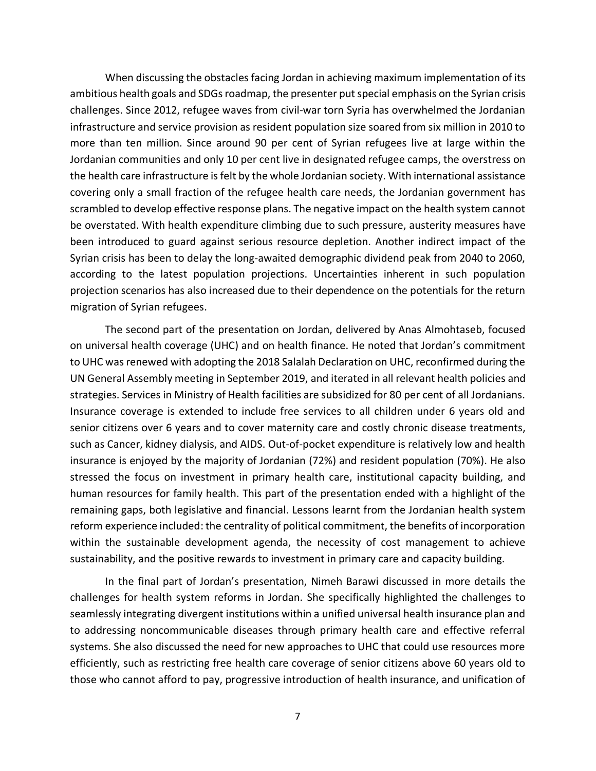When discussing the obstacles facing Jordan in achieving maximum implementation of its ambitious health goals and SDGs roadmap, the presenter put special emphasis on the Syrian crisis challenges. Since 2012, refugee waves from civil-war torn Syria has overwhelmed the Jordanian infrastructure and service provision as resident population size soared from six million in 2010 to more than ten million. Since around 90 per cent of Syrian refugees live at large within the Jordanian communities and only 10 per cent live in designated refugee camps, the overstress on the health care infrastructure is felt by the whole Jordanian society. With international assistance covering only a small fraction of the refugee health care needs, the Jordanian government has scrambled to develop effective response plans. The negative impact on the health system cannot be overstated. With health expenditure climbing due to such pressure, austerity measures have been introduced to guard against serious resource depletion. Another indirect impact of the Syrian crisis has been to delay the long-awaited demographic dividend peak from 2040 to 2060, according to the latest population projections. Uncertainties inherent in such population projection scenarios has also increased due to their dependence on the potentials for the return migration of Syrian refugees.

The second part of the presentation on Jordan, delivered by Anas Almohtaseb, focused on universal health coverage (UHC) and on health finance. He noted that Jordan's commitment to UHC was renewed with adopting the 2018 Salalah Declaration on UHC, reconfirmed during the UN General Assembly meeting in September 2019, and iterated in all relevant health policies and strategies. Services in Ministry of Health facilities are subsidized for 80 per cent of all Jordanians. Insurance coverage is extended to include free services to all children under 6 years old and senior citizens over 6 years and to cover maternity care and costly chronic disease treatments, such as Cancer, kidney dialysis, and AIDS. Out-of-pocket expenditure is relatively low and health insurance is enjoyed by the majority of Jordanian (72%) and resident population (70%). He also stressed the focus on investment in primary health care, institutional capacity building, and human resources for family health. This part of the presentation ended with a highlight of the remaining gaps, both legislative and financial. Lessons learnt from the Jordanian health system reform experience included: the centrality of political commitment, the benefits of incorporation within the sustainable development agenda, the necessity of cost management to achieve sustainability, and the positive rewards to investment in primary care and capacity building.

In the final part of Jordan's presentation, Nimeh Barawi discussed in more details the challenges for health system reforms in Jordan. She specifically highlighted the challenges to seamlessly integrating divergent institutions within a unified universal health insurance plan and to addressing noncommunicable diseases through primary health care and effective referral systems. She also discussed the need for new approaches to UHC that could use resources more efficiently, such as restricting free health care coverage of senior citizens above 60 years old to those who cannot afford to pay, progressive introduction of health insurance, and unification of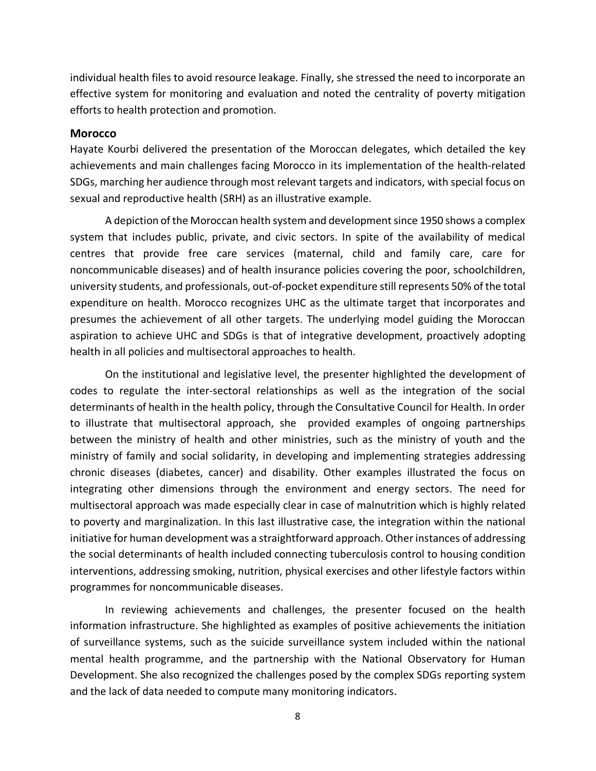individual health files to avoid resource leakage. Finally, she stressed the need to incorporate an effective system for monitoring and evaluation and noted the centrality of poverty mitigation efforts to health protection and promotion.

#### <span id="page-8-0"></span>**Morocco**

Hayate Kourbi delivered the presentation of the Moroccan delegates, which detailed the key achievements and main challenges facing Morocco in its implementation of the health-related SDGs, marching her audience through most relevant targets and indicators, with special focus on sexual and reproductive health (SRH) as an illustrative example.

A depiction of the Moroccan health system and development since 1950 shows a complex system that includes public, private, and civic sectors. In spite of the availability of medical centres that provide free care services (maternal, child and family care, care for noncommunicable diseases) and of health insurance policies covering the poor, schoolchildren, university students, and professionals, out-of-pocket expenditure still represents 50% of the total expenditure on health. Morocco recognizes UHC as the ultimate target that incorporates and presumes the achievement of all other targets. The underlying model guiding the Moroccan aspiration to achieve UHC and SDGs is that of integrative development, proactively adopting health in all policies and multisectoral approaches to health.

On the institutional and legislative level, the presenter highlighted the development of codes to regulate the inter-sectoral relationships as well as the integration of the social determinants of health in the health policy, through the Consultative Council for Health. In order to illustrate that multisectoral approach, she provided examples of ongoing partnerships between the ministry of health and other ministries, such as the ministry of youth and the ministry of family and social solidarity, in developing and implementing strategies addressing chronic diseases (diabetes, cancer) and disability. Other examples illustrated the focus on integrating other dimensions through the environment and energy sectors. The need for multisectoral approach was made especially clear in case of malnutrition which is highly related to poverty and marginalization. In this last illustrative case, the integration within the national initiative for human development was a straightforward approach. Other instances of addressing the social determinants of health included connecting tuberculosis control to housing condition interventions, addressing smoking, nutrition, physical exercises and other lifestyle factors within programmes for noncommunicable diseases.

In reviewing achievements and challenges, the presenter focused on the health information infrastructure. She highlighted as examples of positive achievements the initiation of surveillance systems, such as the suicide surveillance system included within the national mental health programme, and the partnership with the National Observatory for Human Development. She also recognized the challenges posed by the complex SDGs reporting system and the lack of data needed to compute many monitoring indicators.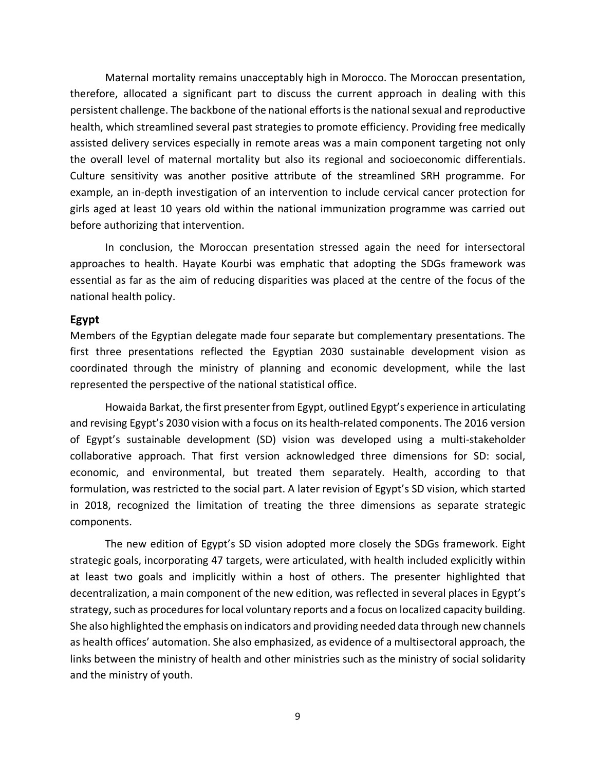Maternal mortality remains unacceptably high in Morocco. The Moroccan presentation, therefore, allocated a significant part to discuss the current approach in dealing with this persistent challenge. The backbone of the national efforts is the national sexual and reproductive health, which streamlined several past strategies to promote efficiency. Providing free medically assisted delivery services especially in remote areas was a main component targeting not only the overall level of maternal mortality but also its regional and socioeconomic differentials. Culture sensitivity was another positive attribute of the streamlined SRH programme. For example, an in-depth investigation of an intervention to include cervical cancer protection for girls aged at least 10 years old within the national immunization programme was carried out before authorizing that intervention.

In conclusion, the Moroccan presentation stressed again the need for intersectoral approaches to health. Hayate Kourbi was emphatic that adopting the SDGs framework was essential as far as the aim of reducing disparities was placed at the centre of the focus of the national health policy.

#### <span id="page-9-0"></span>**Egypt**

Members of the Egyptian delegate made four separate but complementary presentations. The first three presentations reflected the Egyptian 2030 sustainable development vision as coordinated through the ministry of planning and economic development, while the last represented the perspective of the national statistical office.

Howaida Barkat, the first presenter from Egypt, outlined Egypt's experience in articulating and revising Egypt's 2030 vision with a focus on its health-related components. The 2016 version of Egypt's sustainable development (SD) vision was developed using a multi-stakeholder collaborative approach. That first version acknowledged three dimensions for SD: social, economic, and environmental, but treated them separately. Health, according to that formulation, was restricted to the social part. A later revision of Egypt's SD vision, which started in 2018, recognized the limitation of treating the three dimensions as separate strategic components.

The new edition of Egypt's SD vision adopted more closely the SDGs framework. Eight strategic goals, incorporating 47 targets, were articulated, with health included explicitly within at least two goals and implicitly within a host of others. The presenter highlighted that decentralization, a main component of the new edition, was reflected in several places in Egypt's strategy, such as procedures for local voluntary reports and a focus on localized capacity building. She also highlighted the emphasis on indicators and providing needed data through new channels as health offices' automation. She also emphasized, as evidence of a multisectoral approach, the links between the ministry of health and other ministries such as the ministry of social solidarity and the ministry of youth.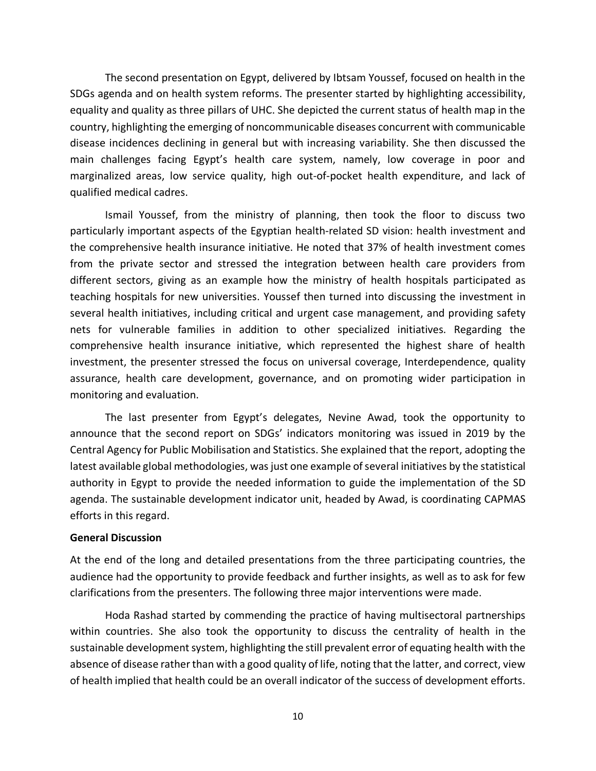The second presentation on Egypt, delivered by Ibtsam Youssef, focused on health in the SDGs agenda and on health system reforms. The presenter started by highlighting accessibility, equality and quality as three pillars of UHC. She depicted the current status of health map in the country, highlighting the emerging of noncommunicable diseases concurrent with communicable disease incidences declining in general but with increasing variability. She then discussed the main challenges facing Egypt's health care system, namely, low coverage in poor and marginalized areas, low service quality, high out-of-pocket health expenditure, and lack of qualified medical cadres.

Ismail Youssef, from the ministry of planning, then took the floor to discuss two particularly important aspects of the Egyptian health-related SD vision: health investment and the comprehensive health insurance initiative. He noted that 37% of health investment comes from the private sector and stressed the integration between health care providers from different sectors, giving as an example how the ministry of health hospitals participated as teaching hospitals for new universities. Youssef then turned into discussing the investment in several health initiatives, including critical and urgent case management, and providing safety nets for vulnerable families in addition to other specialized initiatives. Regarding the comprehensive health insurance initiative, which represented the highest share of health investment, the presenter stressed the focus on universal coverage, Interdependence, quality assurance, health care development, governance, and on promoting wider participation in monitoring and evaluation.

The last presenter from Egypt's delegates, Nevine Awad, took the opportunity to announce that the second report on SDGs' indicators monitoring was issued in 2019 by the Central Agency for Public Mobilisation and Statistics. She explained that the report, adopting the latest available global methodologies, was just one example of several initiatives by the statistical authority in Egypt to provide the needed information to guide the implementation of the SD agenda. The sustainable development indicator unit, headed by Awad, is coordinating CAPMAS efforts in this regard.

#### **General Discussion**

At the end of the long and detailed presentations from the three participating countries, the audience had the opportunity to provide feedback and further insights, as well as to ask for few clarifications from the presenters. The following three major interventions were made.

Hoda Rashad started by commending the practice of having multisectoral partnerships within countries. She also took the opportunity to discuss the centrality of health in the sustainable development system, highlighting the still prevalent error of equating health with the absence of disease rather than with a good quality of life, noting that the latter, and correct, view of health implied that health could be an overall indicator of the success of development efforts.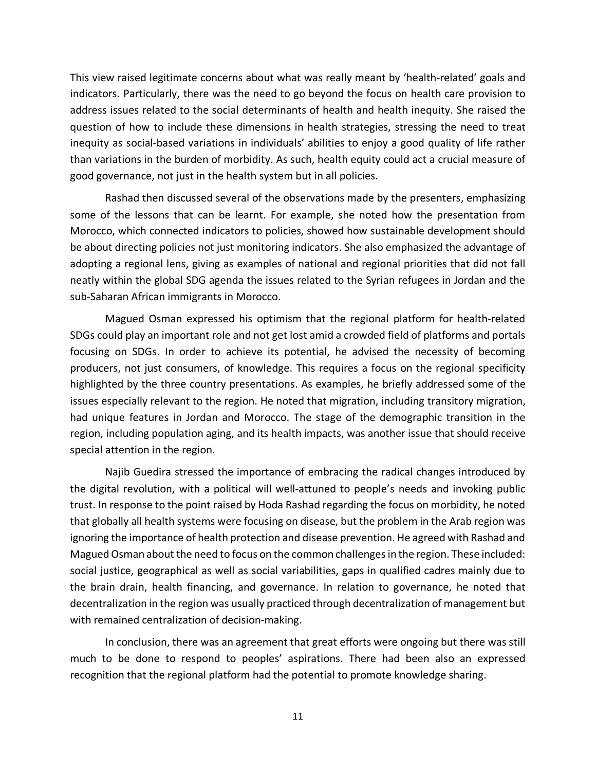This view raised legitimate concerns about what was really meant by 'health-related' goals and indicators. Particularly, there was the need to go beyond the focus on health care provision to address issues related to the social determinants of health and health inequity. She raised the question of how to include these dimensions in health strategies, stressing the need to treat inequity as social-based variations in individuals' abilities to enjoy a good quality of life rather than variations in the burden of morbidity. As such, health equity could act a crucial measure of good governance, not just in the health system but in all policies.

Rashad then discussed several of the observations made by the presenters, emphasizing some of the lessons that can be learnt. For example, she noted how the presentation from Morocco, which connected indicators to policies, showed how sustainable development should be about directing policies not just monitoring indicators. She also emphasized the advantage of adopting a regional lens, giving as examples of national and regional priorities that did not fall neatly within the global SDG agenda the issues related to the Syrian refugees in Jordan and the sub-Saharan African immigrants in Morocco.

Magued Osman expressed his optimism that the regional platform for health-related SDGs could play an important role and not get lost amid a crowded field of platforms and portals focusing on SDGs. In order to achieve its potential, he advised the necessity of becoming producers, not just consumers, of knowledge. This requires a focus on the regional specificity highlighted by the three country presentations. As examples, he briefly addressed some of the issues especially relevant to the region. He noted that migration, including transitory migration, had unique features in Jordan and Morocco. The stage of the demographic transition in the region, including population aging, and its health impacts, was another issue that should receive special attention in the region.

Najib Guedira stressed the importance of embracing the radical changes introduced by the digital revolution, with a political will well-attuned to people's needs and invoking public trust. In response to the point raised by Hoda Rashad regarding the focus on morbidity, he noted that globally all health systems were focusing on disease, but the problem in the Arab region was ignoring the importance of health protection and disease prevention. He agreed with Rashad and Magued Osman about the need to focus on the common challenges in the region. These included: social justice, geographical as well as social variabilities, gaps in qualified cadres mainly due to the brain drain, health financing, and governance. In relation to governance, he noted that decentralization in the region was usually practiced through decentralization of management but with remained centralization of decision-making.

In conclusion, there was an agreement that great efforts were ongoing but there was still much to be done to respond to peoples' aspirations. There had been also an expressed recognition that the regional platform had the potential to promote knowledge sharing.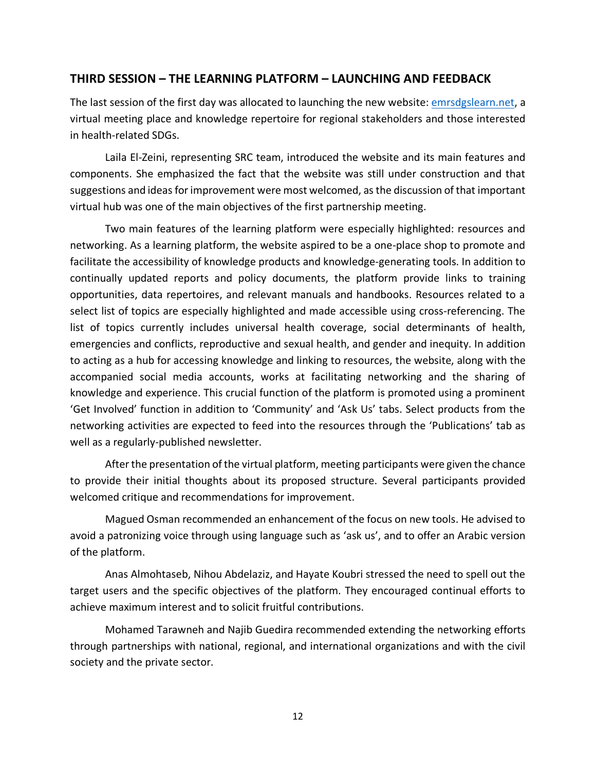### <span id="page-12-0"></span>**THIRD SESSION – THE LEARNING PLATFORM – LAUNCHING AND FEEDBACK**

The last session of the first day was allocated to launching the new website: emrsdgslearn.net, a virtual meeting place and knowledge repertoire for regional stakeholders and those interested in health-related SDGs.

Laila El-Zeini, representing SRC team, introduced the website and its main features and components. She emphasized the fact that the website was still under construction and that suggestions and ideas for improvement were most welcomed, as the discussion of that important virtual hub was one of the main objectives of the first partnership meeting.

Two main features of the learning platform were especially highlighted: resources and networking. As a learning platform, the website aspired to be a one-place shop to promote and facilitate the accessibility of knowledge products and knowledge-generating tools. In addition to continually updated reports and policy documents, the platform provide links to training opportunities, data repertoires, and relevant manuals and handbooks. Resources related to a select list of topics are especially highlighted and made accessible using cross-referencing. The list of topics currently includes universal health coverage, social determinants of health, emergencies and conflicts, reproductive and sexual health, and gender and inequity. In addition to acting as a hub for accessing knowledge and linking to resources, the website, along with the accompanied social media accounts, works at facilitating networking and the sharing of knowledge and experience. This crucial function of the platform is promoted using a prominent 'Get Involved' function in addition to 'Community' and 'Ask Us' tabs. Select products from the networking activities are expected to feed into the resources through the 'Publications' tab as well as a regularly-published newsletter.

After the presentation of the virtual platform, meeting participants were given the chance to provide their initial thoughts about its proposed structure. Several participants provided welcomed critique and recommendations for improvement.

Magued Osman recommended an enhancement of the focus on new tools. He advised to avoid a patronizing voice through using language such as 'ask us', and to offer an Arabic version of the platform.

Anas Almohtaseb, Nihou Abdelaziz, and Hayate Koubri stressed the need to spell out the target users and the specific objectives of the platform. They encouraged continual efforts to achieve maximum interest and to solicit fruitful contributions.

Mohamed Tarawneh and Najib Guedira recommended extending the networking efforts through partnerships with national, regional, and international organizations and with the civil society and the private sector.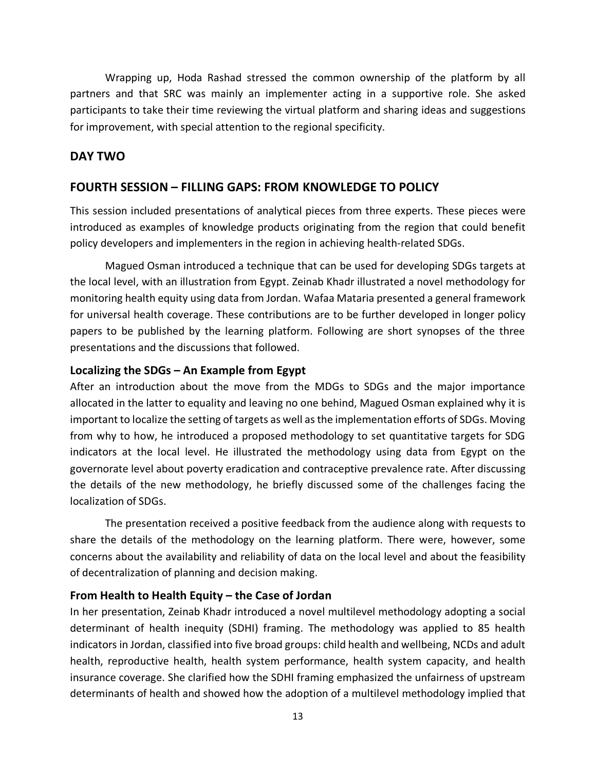Wrapping up, Hoda Rashad stressed the common ownership of the platform by all partners and that SRC was mainly an implementer acting in a supportive role. She asked participants to take their time reviewing the virtual platform and sharing ideas and suggestions for improvement, with special attention to the regional specificity.

## <span id="page-13-0"></span>**DAY TWO**

## <span id="page-13-1"></span>**FOURTH SESSION – FILLING GAPS: FROM KNOWLEDGE TO POLICY**

This session included presentations of analytical pieces from three experts. These pieces were introduced as examples of knowledge products originating from the region that could benefit policy developers and implementers in the region in achieving health-related SDGs.

Magued Osman introduced a technique that can be used for developing SDGs targets at the local level, with an illustration from Egypt. Zeinab Khadr illustrated a novel methodology for monitoring health equity using data from Jordan. Wafaa Mataria presented a general framework for universal health coverage. These contributions are to be further developed in longer policy papers to be published by the learning platform. Following are short synopses of the three presentations and the discussions that followed.

#### <span id="page-13-2"></span>**Localizing the SDGs – An Example from Egypt**

After an introduction about the move from the MDGs to SDGs and the major importance allocated in the latter to equality and leaving no one behind, Magued Osman explained why it is important to localize the setting of targets as well as the implementation efforts of SDGs. Moving from why to how, he introduced a proposed methodology to set quantitative targets for SDG indicators at the local level. He illustrated the methodology using data from Egypt on the governorate level about poverty eradication and contraceptive prevalence rate. After discussing the details of the new methodology, he briefly discussed some of the challenges facing the localization of SDGs.

The presentation received a positive feedback from the audience along with requests to share the details of the methodology on the learning platform. There were, however, some concerns about the availability and reliability of data on the local level and about the feasibility of decentralization of planning and decision making.

### <span id="page-13-3"></span>**From Health to Health Equity – the Case of Jordan**

In her presentation, Zeinab Khadr introduced a novel multilevel methodology adopting a social determinant of health inequity (SDHI) framing. The methodology was applied to 85 health indicators in Jordan, classified into five broad groups: child health and wellbeing, NCDs and adult health, reproductive health, health system performance, health system capacity, and health insurance coverage. She clarified how the SDHI framing emphasized the unfairness of upstream determinants of health and showed how the adoption of a multilevel methodology implied that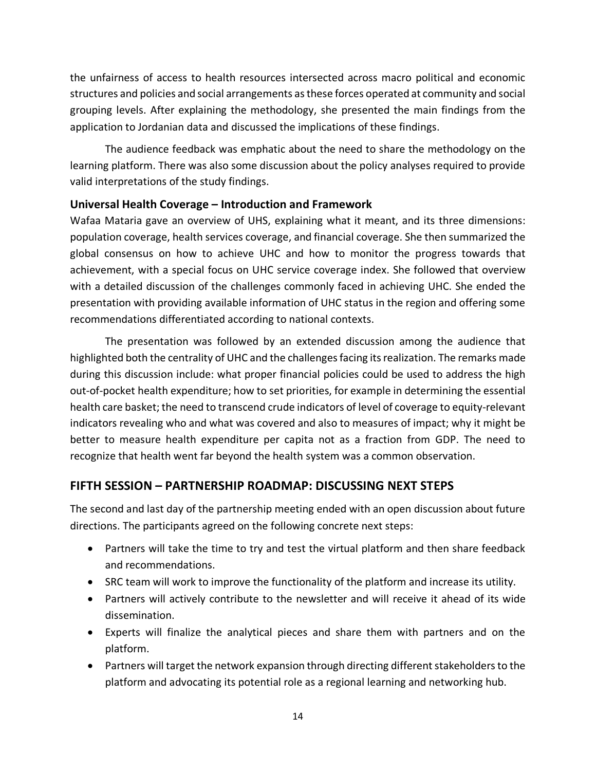the unfairness of access to health resources intersected across macro political and economic structures and policies and social arrangements as these forces operated at community and social grouping levels. After explaining the methodology, she presented the main findings from the application to Jordanian data and discussed the implications of these findings.

The audience feedback was emphatic about the need to share the methodology on the learning platform. There was also some discussion about the policy analyses required to provide valid interpretations of the study findings.

### <span id="page-14-0"></span>**Universal Health Coverage – Introduction and Framework**

Wafaa Mataria gave an overview of UHS, explaining what it meant, and its three dimensions: population coverage, health services coverage, and financial coverage. She then summarized the global consensus on how to achieve UHC and how to monitor the progress towards that achievement, with a special focus on UHC service coverage index. She followed that overview with a detailed discussion of the challenges commonly faced in achieving UHC. She ended the presentation with providing available information of UHC status in the region and offering some recommendations differentiated according to national contexts.

The presentation was followed by an extended discussion among the audience that highlighted both the centrality of UHC and the challenges facing its realization. The remarks made during this discussion include: what proper financial policies could be used to address the high out-of-pocket health expenditure; how to set priorities, for example in determining the essential health care basket; the need to transcend crude indicators of level of coverage to equity-relevant indicators revealing who and what was covered and also to measures of impact; why it might be better to measure health expenditure per capita not as a fraction from GDP. The need to recognize that health went far beyond the health system was a common observation.

# <span id="page-14-1"></span>**FIFTH SESSION – PARTNERSHIP ROADMAP: DISCUSSING NEXT STEPS**

The second and last day of the partnership meeting ended with an open discussion about future directions. The participants agreed on the following concrete next steps:

- Partners will take the time to try and test the virtual platform and then share feedback and recommendations.
- SRC team will work to improve the functionality of the platform and increase its utility.
- Partners will actively contribute to the newsletter and will receive it ahead of its wide dissemination.
- Experts will finalize the analytical pieces and share them with partners and on the platform.
- Partners will target the network expansion through directing different stakeholders to the platform and advocating its potential role as a regional learning and networking hub.